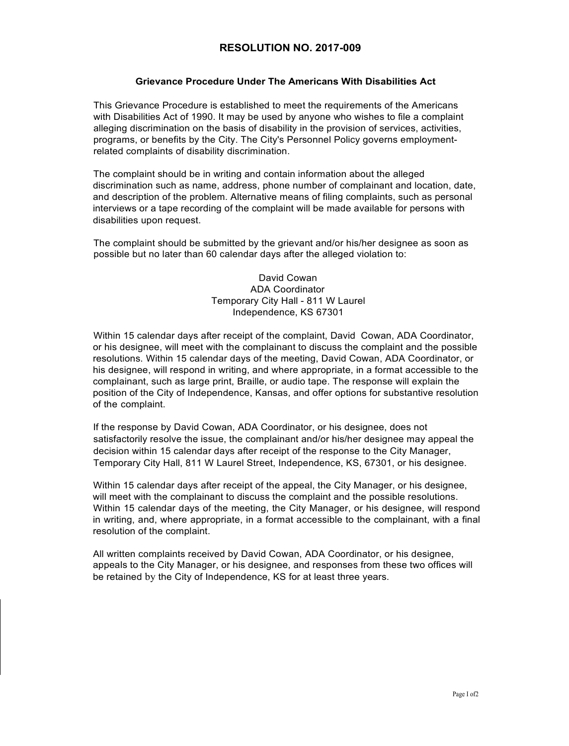## **RESOLUTION NO. 2017-009**

## **Grievance Procedure Under The Americans With Disabilities Act**

This Grievance Procedure is established to meet the requirements of the Americans with Disabilities Act of 1990. It may be used by anyone who wishes to file a complaint alleging discrimination on the basis of disability in the provision of services, activities, programs, or benefits by the City. The City's Personnel Policy governs employmentrelated complaints of disability discrimination.

The complaint should be in writing and contain information about the alleged discrimination such as name, address, phone number of complainant and location, date, and description of the problem. Alternative means of filing complaints, such as personal interviews or a tape recording of the complaint will be made available for persons with disabilities upon request.

The complaint should be submitted by the grievant and/or his/her designee as soon as possible but no later than 60 calendar days after the alleged violation to:

> David Cowan ADA Coordinator Temporary City Hall - 811 W Laurel Independence, KS 67301

Within 15 calendar days after receipt of the complaint, David Cowan, ADA Coordinator, or his designee, will meet with the complainant to discuss the complaint and the possible resolutions. Within 15 calendar days of the meeting, David Cowan, ADA Coordinator, or his designee, will respond in writing, and where appropriate, in a format accessible to the complainant, such as large print, Braille, or audio tape. The response will explain the position of the City of Independence, Kansas, and offer options for substantive resolution of the complaint.

If the response by David Cowan, ADA Coordinator, or his designee, does not satisfactorily resolve the issue, the complainant and/or his/her designee may appeal the decision within 15 calendar days after receipt of the response to the City Manager, Temporary City Hall, 811 W Laurel Street, Independence, KS, 67301, or his designee.

Within 15 calendar days after receipt of the appeal, the City Manager, or his designee, will meet with the complainant to discuss the complaint and the possible resolutions. Within 15 calendar days of the meeting, the City Manager, or his designee, will respond in writing, and, where appropriate, in a format accessible to the complainant, with a final resolution of the complaint.

All written complaints received by David Cowan, ADA Coordinator, or his designee, appeals to the City Manager, or his designee, and responses from these two offices will be retained by the City of Independence, KS for at least three years.